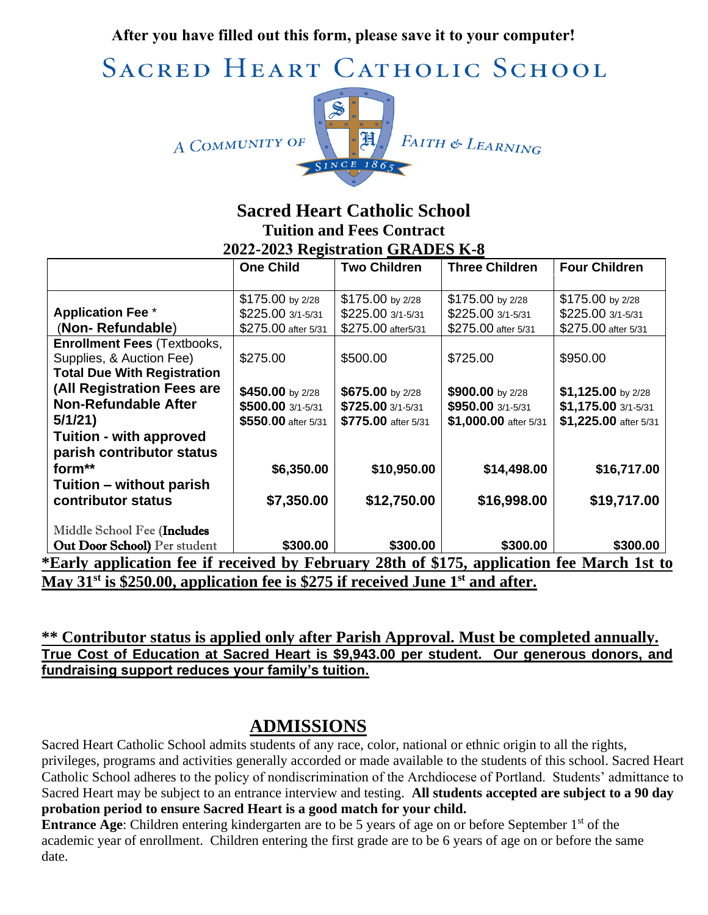**After you have filled out this form, please save it to your computer!**

SACRED HEART CATHOLIC SCHOOL





### **Sacred Heart Catholic School Tuition and Fees Contract 2022-2023 Registration GRADES K-8**

|                                                                                                        | <b>One Child</b>    | <b>Two Children</b> | <b>Three Children</b> | <b>Four Children</b>  |
|--------------------------------------------------------------------------------------------------------|---------------------|---------------------|-----------------------|-----------------------|
|                                                                                                        |                     |                     |                       |                       |
|                                                                                                        | $$175.00$ by 2/28   | $$175.00$ by 2/28   | $$175.00$ by 2/28     | \$175.00 by 2/28      |
| <b>Application Fee *</b>                                                                               | \$225.00 3/1-5/31   | \$225.00 3/1-5/31   | \$225.00 3/1-5/31     | \$225.00 3/1-5/31     |
| (Non-Refundable)                                                                                       | \$275.00 after 5/31 | \$275.00 after5/31  | \$275.00 after 5/31   | \$275.00 after 5/31   |
| <b>Enrollment Fees (Textbooks,</b>                                                                     |                     |                     |                       |                       |
| Supplies, & Auction Fee)                                                                               | \$275.00            | \$500.00            | \$725.00              | \$950.00              |
| <b>Total Due With Registration</b>                                                                     |                     |                     |                       |                       |
| (All Registration Fees are                                                                             | \$450.00 by 2/28    | \$675.00 by 2/28    | \$900.00 by 2/28      | \$1,125.00 by 2/28    |
| <b>Non-Refundable After</b>                                                                            | \$500.00 3/1-5/31   | \$725.00 3/1-5/31   | \$950.00 3/1-5/31     | \$1,175.00 3/1-5/31   |
| 5/1/21                                                                                                 | \$550.00 after 5/31 | \$775.00 after 5/31 | \$1,000.00 after 5/31 | \$1,225.00 after 5/31 |
| <b>Tuition - with approved</b>                                                                         |                     |                     |                       |                       |
| parish contributor status                                                                              |                     |                     |                       |                       |
| form**                                                                                                 | \$6,350.00          | \$10,950.00         | \$14,498.00           | \$16,717.00           |
| Tuition – without parish                                                                               |                     |                     |                       |                       |
| contributor status                                                                                     | \$7,350.00          | \$12,750.00         | \$16,998.00           | \$19,717.00           |
| Middle School Fee (Includes                                                                            |                     |                     |                       |                       |
| Out Door School) Per student                                                                           | \$300.00            | \$300.00            | \$300.00              | \$300.00              |
| *Early application fee if received by February 28th of \$175, application fee March 1st to             |                     |                     |                       |                       |
| May 31 <sup>st</sup> is \$250.00, application fee is \$275 if received June 1 <sup>st</sup> and after. |                     |                     |                       |                       |

**\*\* Contributor status is applied only after Parish Approval. Must be completed annually. True Cost of Education at Sacred Heart is \$9,943.00 per student. Our generous donors, and fundraising support reduces your family's tuition.** 

## **ADMISSIONS**

Sacred Heart Catholic School admits students of any race, color, national or ethnic origin to all the rights, privileges, programs and activities generally accorded or made available to the students of this school. Sacred Heart Catholic School adheres to the policy of nondiscrimination of the Archdiocese of Portland. Students' admittance to Sacred Heart may be subject to an entrance interview and testing. **All students accepted are subject to a 90 day probation period to ensure Sacred Heart is a good match for your child.**

**Entrance Age:** Children entering kindergarten are to be 5 years of age on or before September 1<sup>st</sup> of the academic year of enrollment. Children entering the first grade are to be 6 years of age on or before the same date.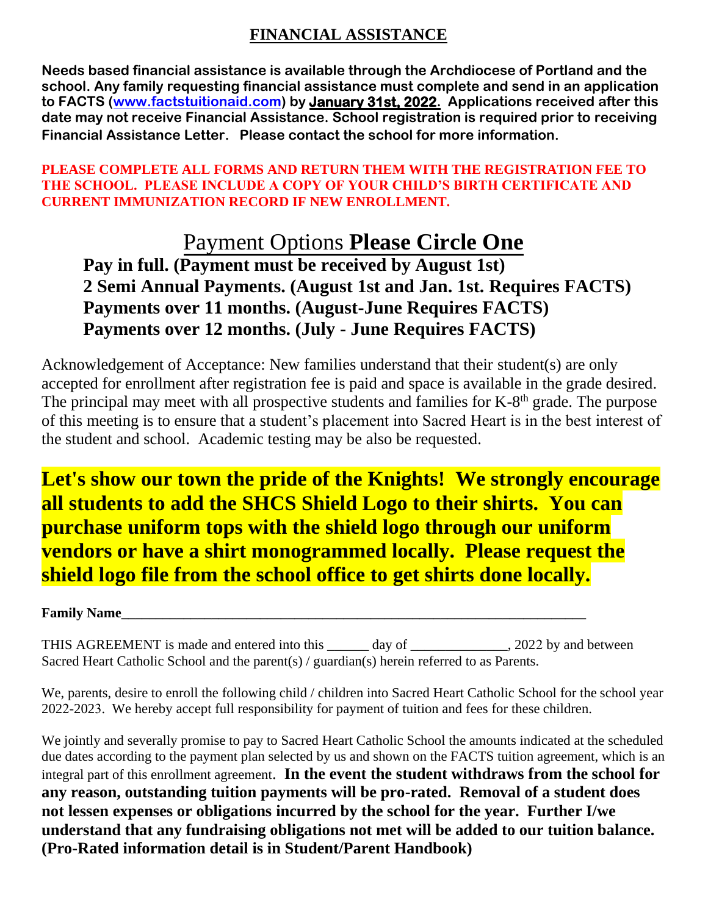### **FINANCIAL ASSISTANCE**

**Needs based financial assistance is available through the Archdiocese of Portland and the school. Any family requesting financial assistance must complete and send in an application to FACTS [\(www.factstuitionaid.com\)](http://www.factstuitionaid.com/) by January 31st, 2022. Applications received after this date may not receive Financial Assistance. School registration is required prior to receiving Financial Assistance Letter. Please contact the school for more information.** 

#### **PLEASE COMPLETE ALL FORMS AND RETURN THEM WITH THE REGISTRATION FEE TO THE SCHOOL. PLEASE INCLUDE A COPY OF YOUR CHILD'S BIRTH CERTIFICATE AND CURRENT IMMUNIZATION RECORD IF NEW ENROLLMENT.**

# Payment Options **Please Circle One**

**Pay in full. (Payment must be received by August 1st) 2 Semi Annual Payments. (August 1st and Jan. 1st. Requires FACTS) Payments over 11 months. (August-June Requires FACTS) Payments over 12 months. (July - June Requires FACTS)**

Acknowledgement of Acceptance: New families understand that their student(s) are only accepted for enrollment after registration fee is paid and space is available in the grade desired. The principal may meet with all prospective students and families for  $K-8<sup>th</sup>$  grade. The purpose of this meeting is to ensure that a student's placement into Sacred Heart is in the best interest of the student and school. Academic testing may be also be requested.

**Let's show our town the pride of the Knights! We strongly encourage all students to add the SHCS Shield Logo to their shirts. You can purchase uniform tops with the shield logo through our uniform vendors or have a shirt monogrammed locally. Please request the shield logo file from the school office to get shirts done locally.**

**Family Name** 

THIS AGREEMENT is made and entered into this \_\_\_\_\_\_ day of \_\_\_\_\_\_\_\_\_\_\_\_, 2022 by and between Sacred Heart Catholic School and the parent(s) / guardian(s) herein referred to as Parents.

We, parents, desire to enroll the following child / children into Sacred Heart Catholic School for the school year 2022-2023. We hereby accept full responsibility for payment of tuition and fees for these children.

We jointly and severally promise to pay to Sacred Heart Catholic School the amounts indicated at the scheduled due dates according to the payment plan selected by us and shown on the FACTS tuition agreement, which is an integral part of this enrollment agreement. **In the event the student withdraws from the school for any reason, outstanding tuition payments will be pro-rated. Removal of a student does not lessen expenses or obligations incurred by the school for the year. Further I/we understand that any fundraising obligations not met will be added to our tuition balance. (Pro-Rated information detail is in Student/Parent Handbook)**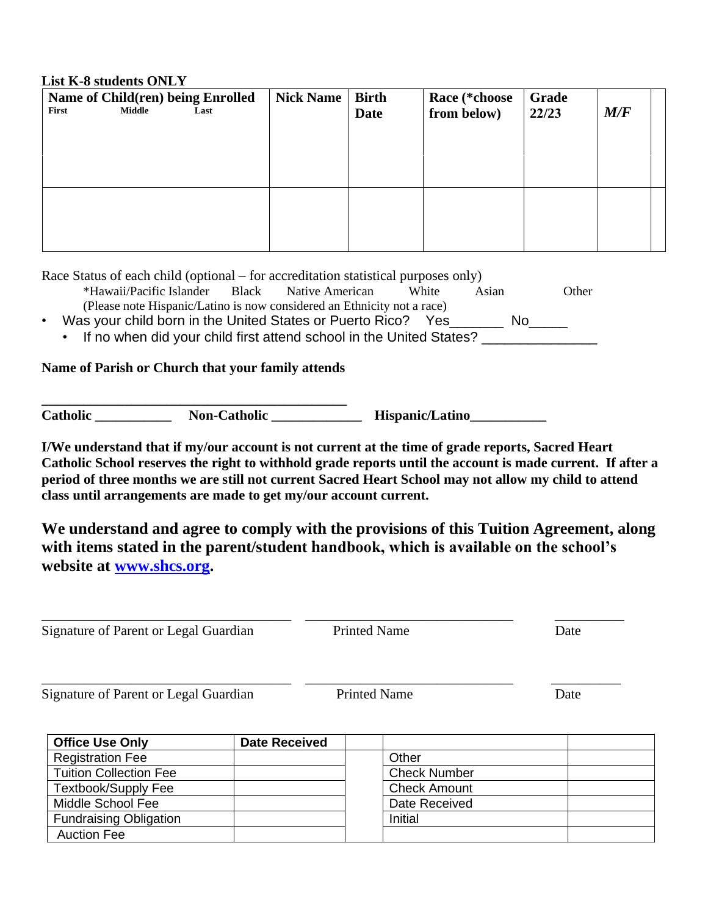#### **List K-8 students ONLY**

| First | Name of Child(ren) being Enrolled<br>Middle | Last | <b>Nick Name</b> | <b>Birth</b><br>Date | Race (*choose<br>from below) | Grade<br>22/23 | M/F |  |
|-------|---------------------------------------------|------|------------------|----------------------|------------------------------|----------------|-----|--|
|       |                                             |      |                  |                      |                              |                |     |  |
|       |                                             |      |                  |                      |                              |                |     |  |
|       |                                             |      |                  |                      |                              |                |     |  |
|       |                                             |      |                  |                      |                              |                |     |  |

Race Status of each child (optional – for accreditation statistical purposes only)

- \*Hawaii/Pacific Islander Black Native American White Asian Other (Please note Hispanic/Latino is now considered an Ethnicity not a race)
- Was your child born in the United States or Puerto Rico? Yes\_\_\_\_\_\_\_ No\_\_\_\_\_
	- If no when did your child first attend school in the United States?

#### **Name of Parish or Church that your family attends**

**\_\_\_\_\_\_\_\_\_\_\_\_\_\_\_\_\_\_\_\_\_\_\_\_\_\_\_\_\_\_\_\_\_\_\_\_\_\_\_\_\_\_\_\_**

**Catholic \_\_\_\_\_\_\_\_\_\_\_ Non-Catholic \_\_\_\_\_\_\_\_\_\_\_\_\_ Hispanic/Latino\_\_\_\_\_\_\_\_\_\_\_**

**I/We understand that if my/our account is not current at the time of grade reports, Sacred Heart Catholic School reserves the right to withhold grade reports until the account is made current. If after a period of three months we are still not current Sacred Heart School may not allow my child to attend class until arrangements are made to get my/our account current.** 

**We understand and agree to comply with the provisions of this Tuition Agreement, along with items stated in the parent/student handbook, which is available on the school's website at [www.shcs.org.](http://www.shcs.org/)**

\_\_\_\_\_\_\_\_\_\_\_\_\_\_\_\_\_\_\_\_\_\_\_\_\_\_\_\_\_\_\_\_\_\_\_\_ \_\_\_\_\_\_\_\_\_\_\_\_\_\_\_\_\_\_\_\_\_\_\_\_\_\_\_\_\_\_ \_\_\_\_\_\_\_\_\_\_

\_\_\_\_\_\_\_\_\_\_\_\_\_\_\_\_\_\_\_\_\_\_\_\_\_\_\_\_\_\_\_\_\_\_\_\_ \_\_\_\_\_\_\_\_\_\_\_\_\_\_\_\_\_\_\_\_\_\_\_\_\_\_\_\_\_\_ \_\_\_\_\_\_\_\_\_\_

Signature of Parent or Legal Guardian Printed Name Date

Signature of Parent or Legal Guardian Printed Name Date

**Office Use Only**  Date Received Registration Fee **Network** | Negistration Fee Tuition Collection Fee Check Number Textbook/Supply Fee The Check Amount Middle School Fee **Network** | **Catally Received** | Date Received Fundraising Obligation Initial Auction Fee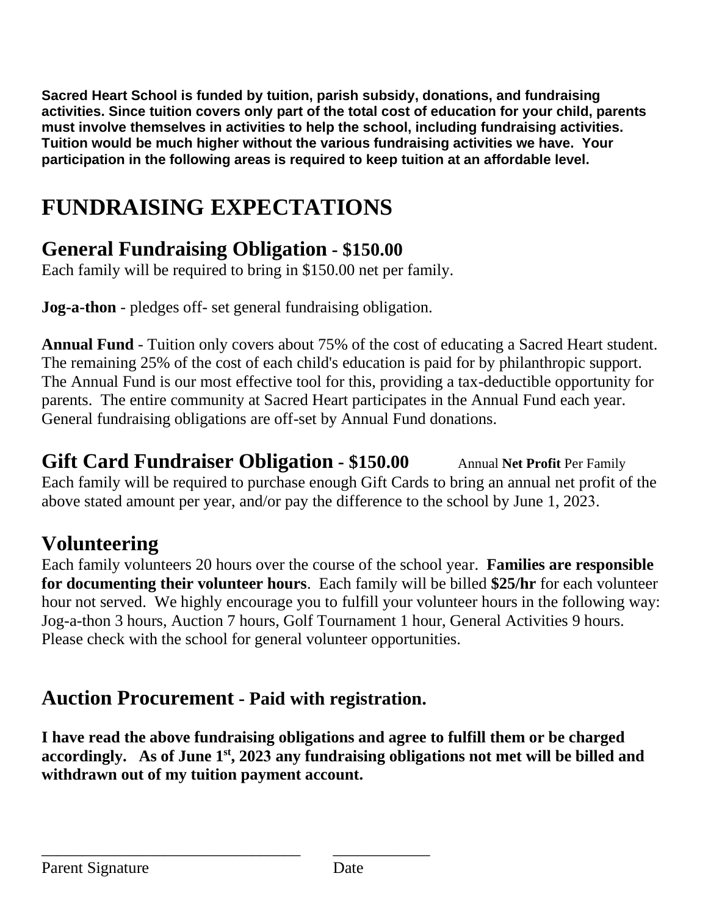**Sacred Heart School is funded by tuition, parish subsidy, donations, and fundraising activities. Since tuition covers only part of the total cost of education for your child, parents must involve themselves in activities to help the school, including fundraising activities. Tuition would be much higher without the various fundraising activities we have. Your participation in the following areas is required to keep tuition at an affordable level.**

# **FUNDRAISING EXPECTATIONS**

# **General Fundraising Obligation - \$150.00**

Each family will be required to bring in \$150.00 net per family.

**Jog-a-thon** - pledges off- set general fundraising obligation.

**Annual Fund** - Tuition only covers about 75% of the cost of educating a Sacred Heart student. The remaining 25% of the cost of each child's education is paid for by philanthropic support. The Annual Fund is our most effective tool for this, providing a tax-deductible opportunity for parents. The entire community at Sacred Heart participates in the Annual Fund each year. General fundraising obligations are off-set by Annual Fund donations.

**Gift Card Fundraiser Obligation - \$150.00** Annual **Net Profit** Per Family Each family will be required to purchase enough Gift Cards to bring an annual net profit of the above stated amount per year, and/or pay the difference to the school by June 1, 2023.

# **Volunteering**

Each family volunteers 20 hours over the course of the school year. **Families are responsible for documenting their volunteer hours**. Each family will be billed **\$25/hr** for each volunteer hour not served. We highly encourage you to fulfill your volunteer hours in the following way: Jog-a-thon 3 hours, Auction 7 hours, Golf Tournament 1 hour, General Activities 9 hours. Please check with the school for general volunteer opportunities.

## **Auction Procurement - Paid with registration.**

\_\_\_\_\_\_\_\_\_\_\_\_\_\_\_\_\_\_\_\_\_\_\_\_\_\_\_\_\_\_\_\_ \_\_\_\_\_\_\_\_\_\_\_\_

**I have read the above fundraising obligations and agree to fulfill them or be charged accordingly. As of June 1st , 2023 any fundraising obligations not met will be billed and withdrawn out of my tuition payment account.**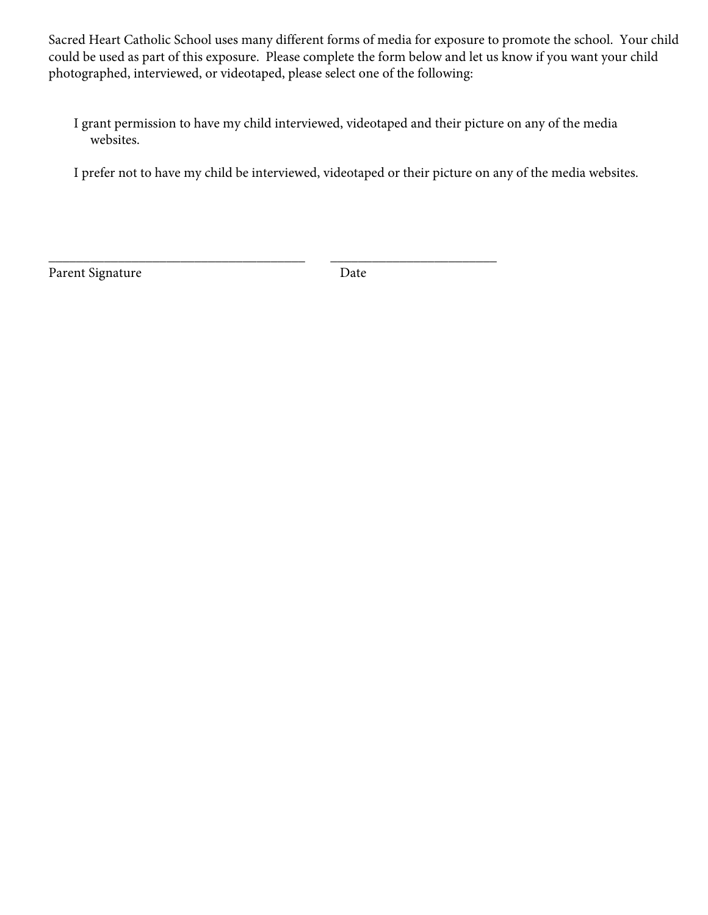Sacred Heart Catholic School uses many different forms of media for exposure to promote the school. Your child could be used as part of this exposure. Please complete the form below and let us know if you want your child photographed, interviewed, or videotaped, please select one of the following:

 I grant permission to have my child interviewed, videotaped and their picture on any of the media websites.

I prefer not to have my child be interviewed, videotaped or their picture on any of the media websites.

Parent Signature Date

\_\_\_\_\_\_\_\_\_\_\_\_\_\_\_\_\_\_\_\_\_\_\_\_\_\_\_\_\_\_\_\_\_\_\_\_\_ \_\_\_\_\_\_\_\_\_\_\_\_\_\_\_\_\_\_\_\_\_\_\_\_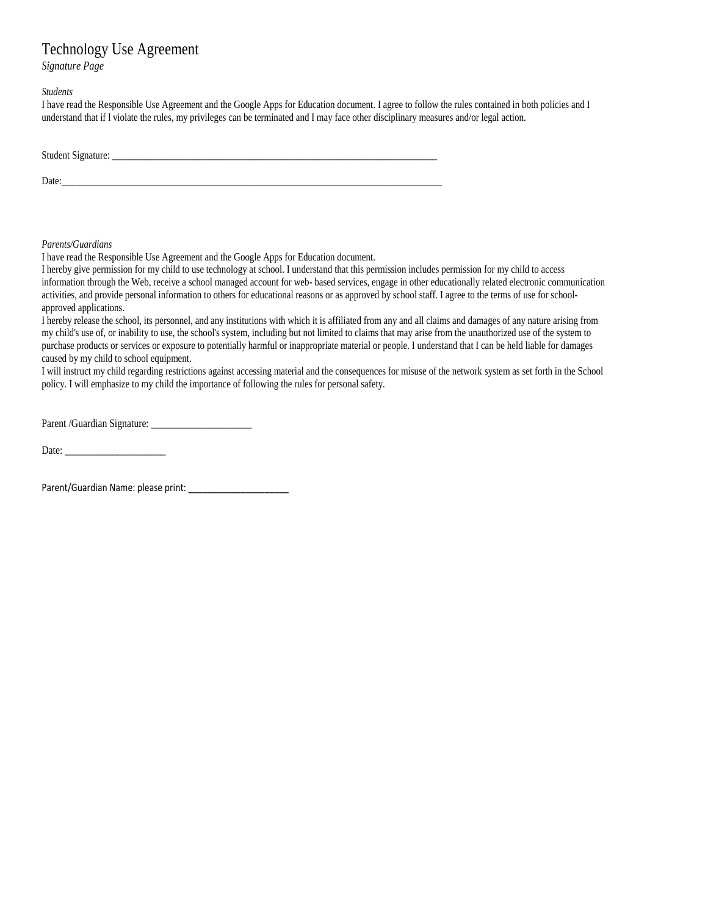#### Technology Use Agreement

*Signature Page* 

*Students* 

I have read the Responsible Use Agreement and the Google Apps for Education document. I agree to follow the rules contained in both policies and I understand that if I violate the rules, my privileges can be terminated and

| Student Signature: |  |  |  |
|--------------------|--|--|--|
| Date:              |  |  |  |

*Parents/Guardians* 

I hereby give permission for my child to use technology at school. I understand that this permission includes permission for my child to access information through the Web, receive a school managed account for web- based s

approved applications.<br>
I hereby release the school, its personnel, and any institutions with which it is affiliated from any and all claims and damages of any nature arising from<br>
my child's use of, or inability to use, t

Parent /Guardian Signature: \_\_\_\_\_\_\_\_\_\_\_\_\_\_\_\_\_\_\_\_\_ Date: \_\_\_\_\_\_\_\_\_\_\_\_\_\_\_\_\_\_\_\_\_

Parent/Guardian Name: please print: \_\_\_\_\_\_\_\_\_\_\_\_\_\_\_\_\_\_\_\_\_